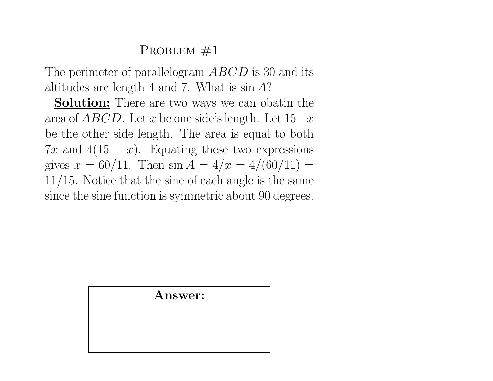The perimeter of parallelogram ABCD is 30 and its altitudes are length 4 and 7. What is  $\sin A$ ?

**Solution:** There are two ways we can obatin the area of  $ABCD$ . Let x be one side's length. Let  $15-x$ be the other side length. The area is equal to both 7x and 4(15  $-x$ ). Equating these two expressions gives  $x = \frac{60}{11}$ . Then  $\sin A = \frac{4}{x} = \frac{4}{60}{11} =$ 11/15. Notice that the sine of each angle is the same since the sine function is symmetric about 90 degrees.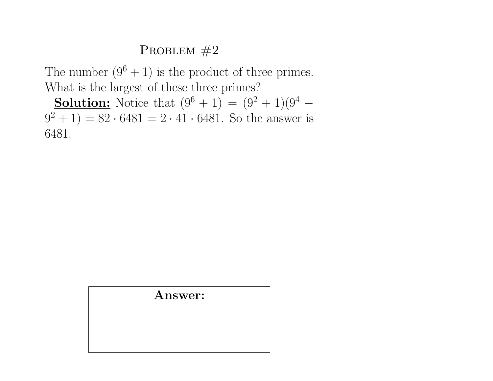The number  $(9^6 + 1)$  is the product of three primes. What is the largest of these three primes?

**Solution:** Notice that  $(9^6 + 1) = (9^2 + 1)(9^4 (9^2 + 1) = 82 \cdot 6481 = 2 \cdot 41 \cdot 6481$ . So the answer is 6481.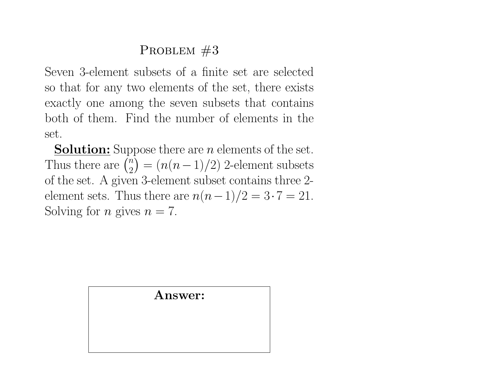Seven 3-element subsets of a finite set are selected so that for any two elements of the set, there exists exactly one among the seven subsets that contains both of them. Find the number of elements in the set.

**Solution:** Suppose there are  $n$  elements of the set. Thus there are  $\binom{n}{2}$  $\binom{n}{2} = (n(n-1)/2)$  2-element subsets of the set. A given 3-element subset contains three 2 element sets. Thus there are  $n(n-1)/2 = 3 \cdot 7 = 21$ . Solving for *n* gives  $n = 7$ .

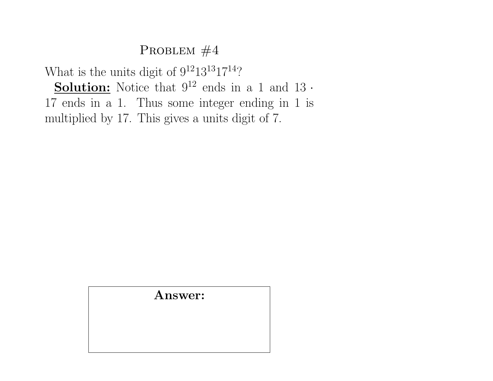What is the units digit of  $9^{12}13^{13}17^{14}$ ? **Solution:** Notice that  $9^{12}$  ends in a 1 and 13 ·

17 ends in a 1. Thus some integer ending in 1 is multiplied by 17. This gives a units digit of 7.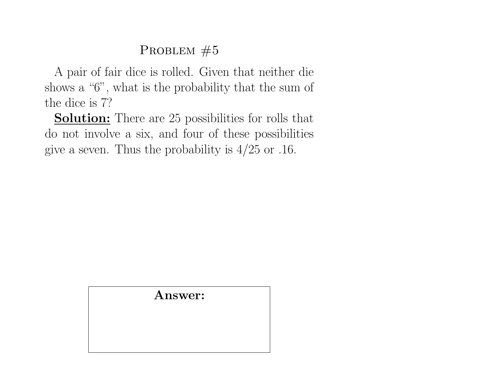A pair of fair dice is rolled. Given that neither die shows a "6", what is the probability that the sum of the dice is 7?

**Solution:** There are 25 possibilities for rolls that do not involve a six, and four of these possibilities give a seven. Thus the probability is  $4/25$  or .16.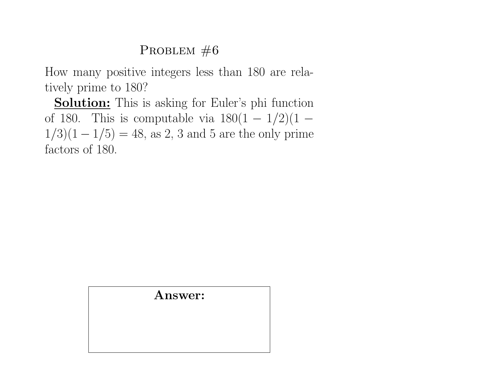How many positive integers less than 180 are relatively prime to 180?

**Solution:** This is asking for Euler's phi function of 180. This is computable via  $180(1 - 1/2)(1 1/3(1 - 1/5) = 48$ , as 2, 3 and 5 are the only prime factors of 180.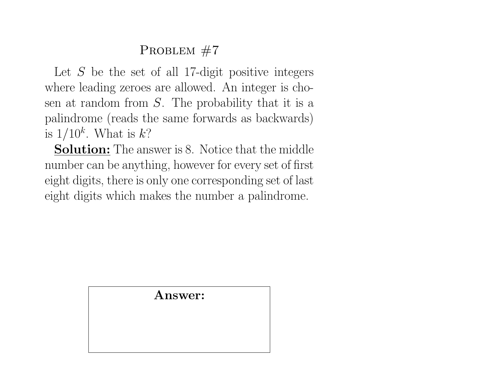Let  $S$  be the set of all 17-digit positive integers where leading zeroes are allowed. An integer is chosen at random from  $S$ . The probability that it is a palindrome (reads the same forwards as backwards) is  $1/10^k$ . What is  $k$ ?

**Solution:** The answer is 8. Notice that the middle number can be anything, however for every set of first eight digits, there is only one corresponding set of last eight digits which makes the number a palindrome.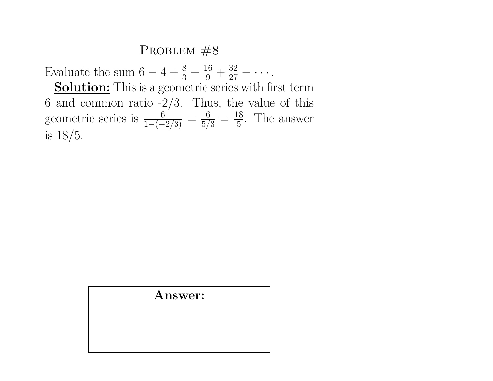Evaluate the sum  $6 - 4 + \frac{8}{3} - \frac{16}{9} + \frac{32}{27} - \cdots$ . Solution: This is a geometric series with first term 6 and common ratio  $-2/3$ . Thus, the value of this geometric series is  $\frac{6}{1-(-2/3)} = \frac{6}{5/3} = \frac{18}{5}$  $\frac{18}{5}$ . The answer is 18/5.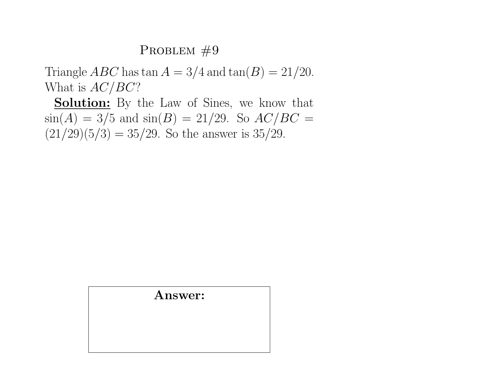Triangle *ABC* has  $\tan A = 3/4$  and  $\tan(B) = 21/20$ . What is  $AC/BC$ ?

**Solution:** By the Law of Sines, we know that  $\sin(A) = 3/5$  and  $\sin(B) = 21/29$ . So  $AC/BC =$  $(21/29)(5/3) = 35/29$ . So the answer is 35/29.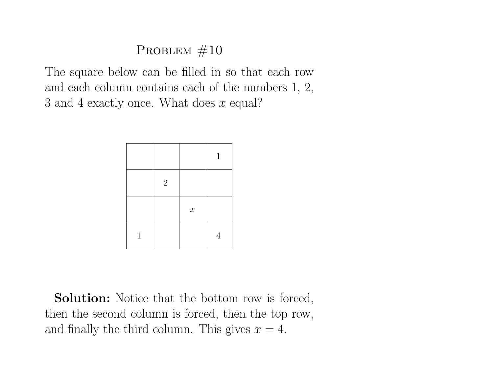The square below can be filled in so that each row and each column contains each of the numbers 1, 2, 3 and 4 exactly once. What does x equal?

|   |                |                  | $\mathbf{1}$ |
|---|----------------|------------------|--------------|
|   | $\overline{2}$ |                  |              |
|   |                | $\boldsymbol{x}$ |              |
| 1 |                |                  | 4            |

**Solution:** Notice that the bottom row is forced, then the second column is forced, then the top row, and finally the third column. This gives  $x = 4$ .